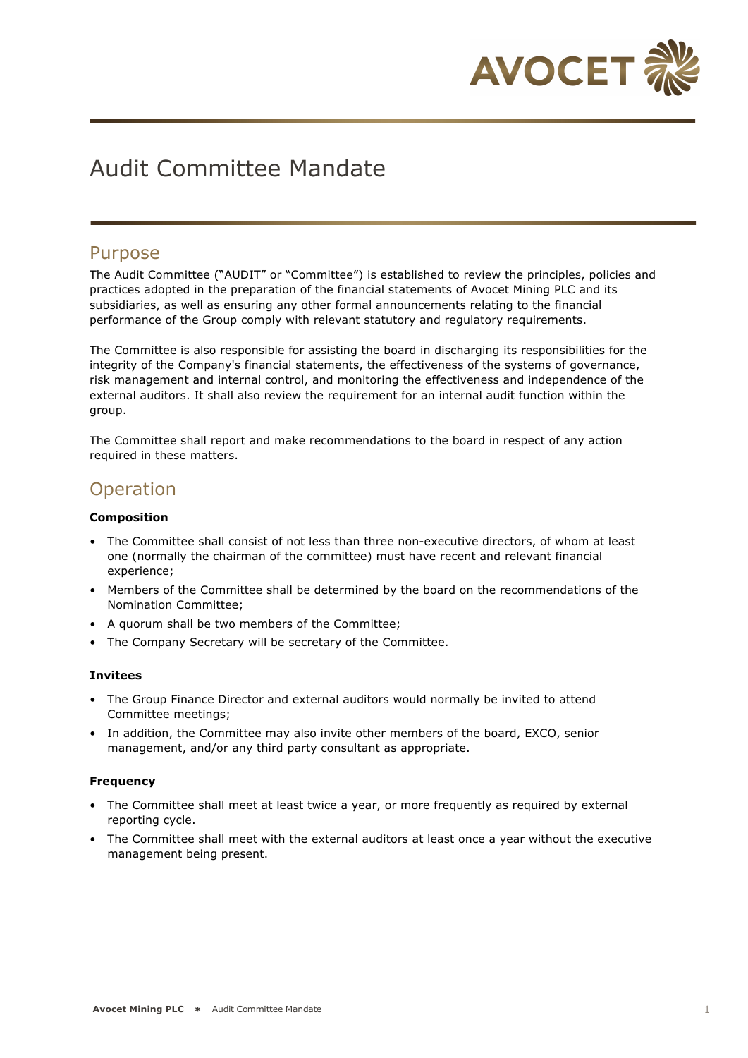

# Audit Committee Mandate

### Purpose

The Audit Committee ("AUDIT" or "Committee") is established to review the principles, policies and practices adopted in the preparation of the financial statements of Avocet Mining PLC and its subsidiaries, as well as ensuring any other formal announcements relating to the financial performance of the Group comply with relevant statutory and regulatory requirements.

The Committee is also responsible for assisting the board in discharging its responsibilities for the integrity of the Company's financial statements, the effectiveness of the systems of governance, risk management and internal control, and monitoring the effectiveness and independence of the external auditors. It shall also review the requirement for an internal audit function within the group.

The Committee shall report and make recommendations to the board in respect of any action required in these matters.

# **Operation**

### **Composition**

- The Committee shall consist of not less than three non-executive directors, of whom at least one (normally the chairman of the committee) must have recent and relevant financial experience;
- Members of the Committee shall be determined by the board on the recommendations of the Nomination Committee;
- A quorum shall be two members of the Committee;
- The Company Secretary will be secretary of the Committee.

### **Invitees**

- The Group Finance Director and external auditors would normally be invited to attend Committee meetings;
- In addition, the Committee may also invite other members of the board, EXCO, senior management, and/or any third party consultant as appropriate.

### **Frequency**

- The Committee shall meet at least twice a year, or more frequently as required by external reporting cycle.
- The Committee shall meet with the external auditors at least once a year without the executive management being present.